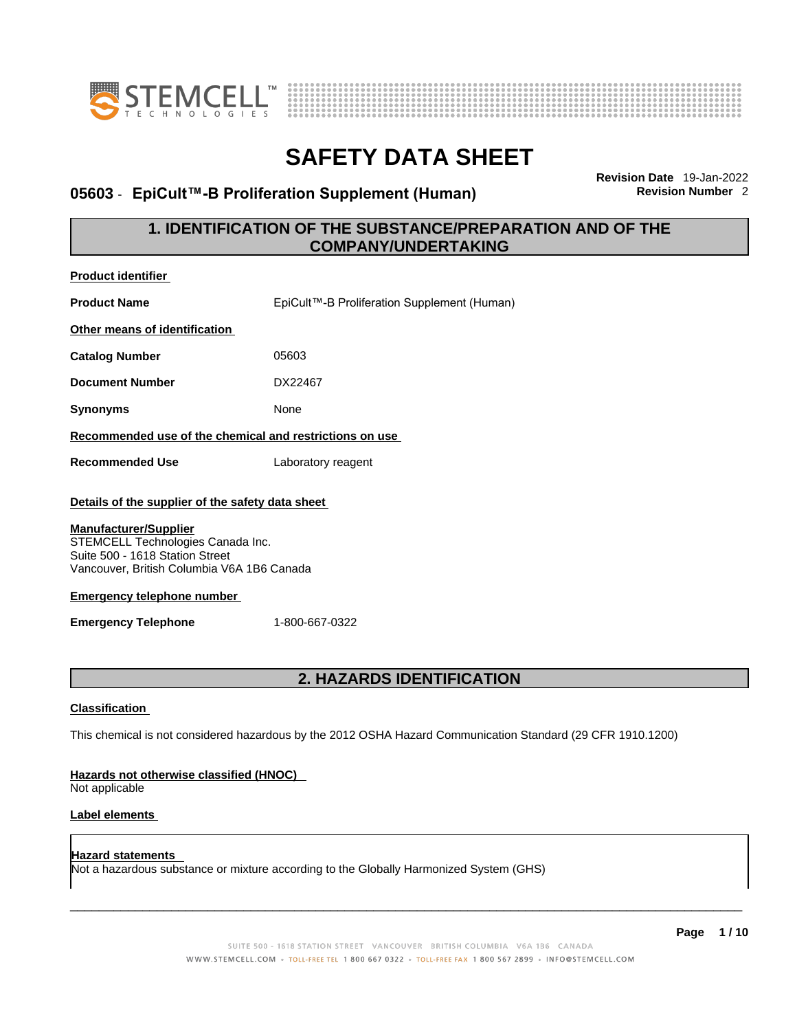



# **05603 · EpiCult™-B Proliferation Supplement (Human)**

**Revision Date** 19-Jan-2022

## **1. IDENTIFICATION OF THE SUBSTANCE/PREPARATION AND OF THE COMPANY/UNDERTAKING**

| <b>Product identifier</b>                                                                                                                                                                                                                                                 |                                             |  |
|---------------------------------------------------------------------------------------------------------------------------------------------------------------------------------------------------------------------------------------------------------------------------|---------------------------------------------|--|
| <b>Product Name</b>                                                                                                                                                                                                                                                       | EpiCult™-B Proliferation Supplement (Human) |  |
| Other means of identification                                                                                                                                                                                                                                             |                                             |  |
| <b>Catalog Number</b>                                                                                                                                                                                                                                                     | 05603                                       |  |
| <b>Document Number</b>                                                                                                                                                                                                                                                    | DX22467                                     |  |
| <b>Synonyms</b>                                                                                                                                                                                                                                                           | None                                        |  |
| Recommended use of the chemical and restrictions on use                                                                                                                                                                                                                   |                                             |  |
| <b>Recommended Use</b>                                                                                                                                                                                                                                                    | Laboratory reagent                          |  |
| Details of the supplier of the safety data sheet<br><b>Manufacturer/Supplier</b><br>STEMCELL Technologies Canada Inc.<br>Suite 500 - 1618 Station Street<br>Vancouver, British Columbia V6A 1B6 Canada<br><b>Emergency telephone number</b><br><b>Emergency Telephone</b> | 1-800-667-0322                              |  |
| <b>2. HAZARDS IDENTIFICATION</b><br><b>Classification</b><br>This chemical is not considered hazardous by the 2012 OSHA Hazard Communication Standard (29 CFR 1910.1200)<br>Hazards not otherwise classified (HNOC)                                                       |                                             |  |
| Not applicable<br><b>Label elements</b>                                                                                                                                                                                                                                   |                                             |  |

**Hazard statements**  Not a hazardous substance or mixture according to the Globally Harmonized System (GHS)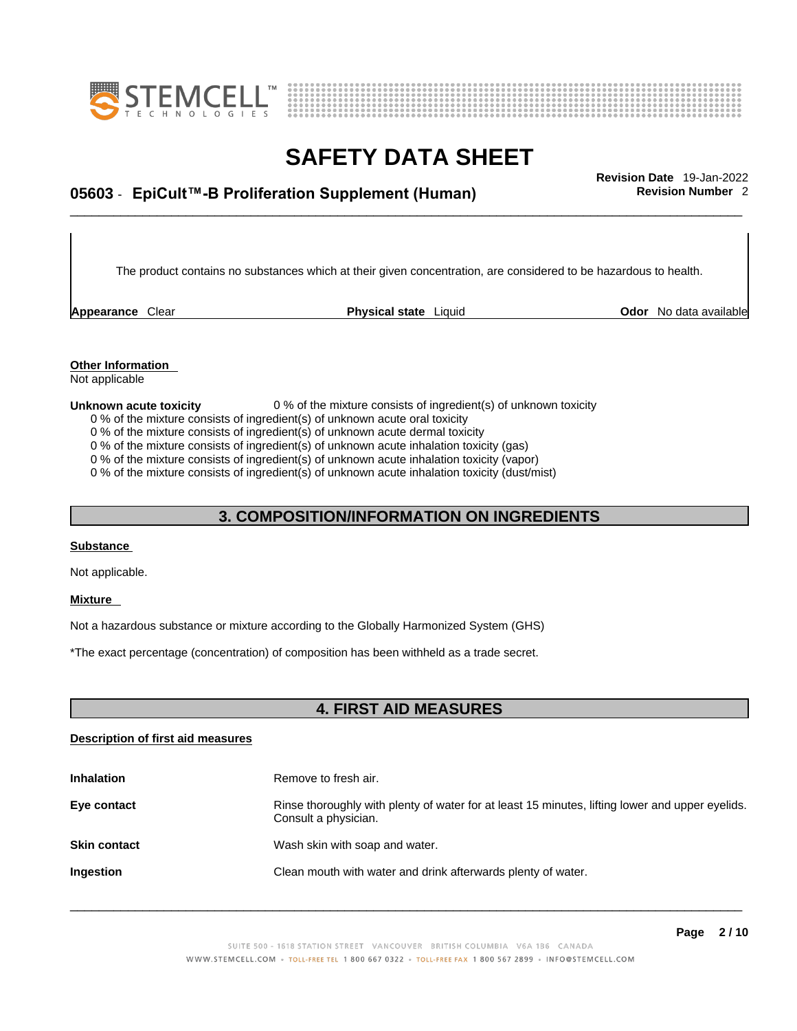



# \_\_\_\_\_\_\_\_\_\_\_\_\_\_\_\_\_\_\_\_\_\_\_\_\_\_\_\_\_\_\_\_\_\_\_\_\_\_\_\_\_\_\_\_\_\_\_\_\_\_\_\_\_\_\_\_\_\_\_\_\_\_\_\_\_\_\_\_\_\_\_\_\_\_\_\_\_\_\_\_\_\_\_\_\_\_\_\_\_\_\_\_\_ **Revision Date** 19-Jan-2022 **05603** - **EpiCult™-B Proliferation Supplement (Human) Revision Number** 2

The product contains no substances which at their given concentration, are considered to be hazardous to health.

**Appearance** Clear **Physical state** Liquid

**Odor** No data available

**Other Information**  Not applicable

#### **Unknown acute toxicity** 0 % of the mixture consists of ingredient(s) of unknown toxicity

0 % of the mixture consists of ingredient(s) of unknown acute oral toxicity

0 % of the mixture consists of ingredient(s) of unknown acute dermal toxicity

0 % of the mixture consists of ingredient(s) of unknown acute inhalation toxicity (gas)

0 % of the mixture consists of ingredient(s) of unknown acute inhalation toxicity (vapor)

0 % of the mixture consists of ingredient(s) of unknown acute inhalation toxicity (dust/mist)

## **3. COMPOSITION/INFORMATION ON INGREDIENTS**

#### **Substance**

Not applicable.

### **Mixture**

Not a hazardous substance or mixture according to the Globally Harmonized System (GHS)

\*The exact percentage (concentration) of composition has been withheld as a trade secret.

## **4. FIRST AID MEASURES**

### **Description of first aid measures**

| <b>Inhalation</b>   | Remove to fresh air.                                                                                                    |
|---------------------|-------------------------------------------------------------------------------------------------------------------------|
| Eye contact         | Rinse thoroughly with plenty of water for at least 15 minutes, lifting lower and upper eyelids.<br>Consult a physician. |
| <b>Skin contact</b> | Wash skin with soap and water.                                                                                          |
| Ingestion           | Clean mouth with water and drink afterwards plenty of water.                                                            |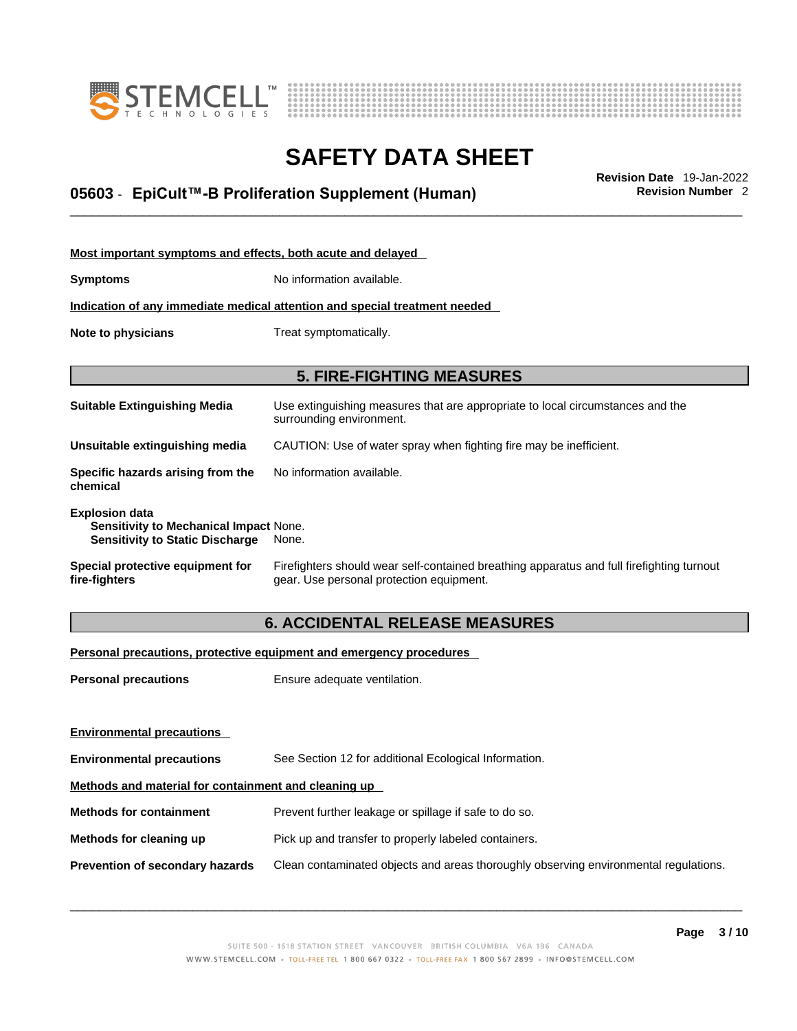



# \_\_\_\_\_\_\_\_\_\_\_\_\_\_\_\_\_\_\_\_\_\_\_\_\_\_\_\_\_\_\_\_\_\_\_\_\_\_\_\_\_\_\_\_\_\_\_\_\_\_\_\_\_\_\_\_\_\_\_\_\_\_\_\_\_\_\_\_\_\_\_\_\_\_\_\_\_\_\_\_\_\_\_\_\_\_\_\_\_\_\_\_\_ **Revision Date** 19-Jan-2022 **05603** - **EpiCult™-B Proliferation Supplement (Human) Revision Number** 2

| Most important symptoms and effects, both acute and delayed                                                      |                                                                                                                                       |  |
|------------------------------------------------------------------------------------------------------------------|---------------------------------------------------------------------------------------------------------------------------------------|--|
| <b>Symptoms</b>                                                                                                  | No information available.                                                                                                             |  |
|                                                                                                                  | Indication of any immediate medical attention and special treatment needed                                                            |  |
| Note to physicians                                                                                               | Treat symptomatically.                                                                                                                |  |
|                                                                                                                  |                                                                                                                                       |  |
| <b>5. FIRE-FIGHTING MEASURES</b>                                                                                 |                                                                                                                                       |  |
| <b>Suitable Extinguishing Media</b>                                                                              | Use extinguishing measures that are appropriate to local circumstances and the<br>surrounding environment.                            |  |
| Unsuitable extinguishing media                                                                                   | CAUTION: Use of water spray when fighting fire may be inefficient.                                                                    |  |
| Specific hazards arising from the<br>chemical                                                                    | No information available.                                                                                                             |  |
| <b>Explosion data</b><br><b>Sensitivity to Mechanical Impact None.</b><br><b>Sensitivity to Static Discharge</b> | None.                                                                                                                                 |  |
| Special protective equipment for<br>fire-fighters                                                                | Firefighters should wear self-contained breathing apparatus and full firefighting turnout<br>gear. Use personal protection equipment. |  |

## **6. ACCIDENTAL RELEASE MEASURES**

### **Personal precautions, protective equipment and emergency procedures**

| <b>Personal precautions</b>                          | Ensure adequate ventilation.                                                         |  |
|------------------------------------------------------|--------------------------------------------------------------------------------------|--|
|                                                      |                                                                                      |  |
|                                                      |                                                                                      |  |
| <b>Environmental precautions</b>                     | See Section 12 for additional Ecological Information.                                |  |
| Methods and material for containment and cleaning up |                                                                                      |  |
| <b>Methods for containment</b>                       | Prevent further leakage or spillage if safe to do so.                                |  |
| Methods for cleaning up                              | Pick up and transfer to properly labeled containers.                                 |  |
| Prevention of secondary hazards                      | Clean contaminated objects and areas thoroughly observing environmental regulations. |  |
| <b>Environmental precautions</b>                     |                                                                                      |  |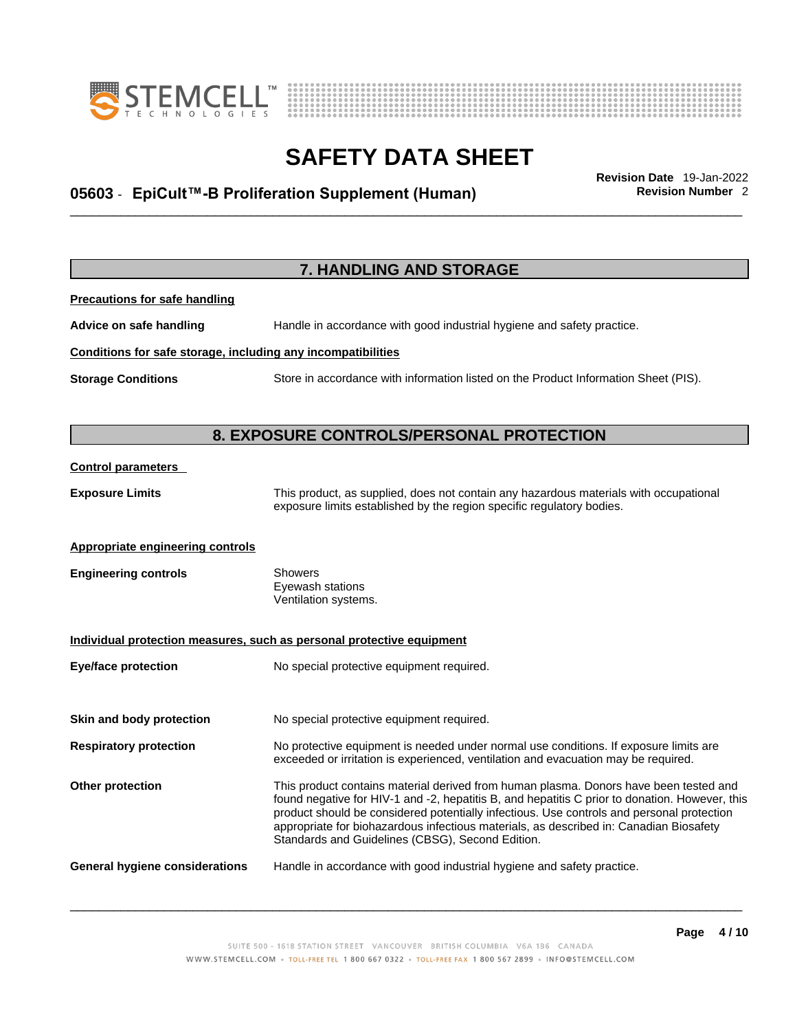



# \_\_\_\_\_\_\_\_\_\_\_\_\_\_\_\_\_\_\_\_\_\_\_\_\_\_\_\_\_\_\_\_\_\_\_\_\_\_\_\_\_\_\_\_\_\_\_\_\_\_\_\_\_\_\_\_\_\_\_\_\_\_\_\_\_\_\_\_\_\_\_\_\_\_\_\_\_\_\_\_\_\_\_\_\_\_\_\_\_\_\_\_\_ **Revision Date** 19-Jan-2022 **05603** - **EpiCult™-B Proliferation Supplement (Human) Revision Number** 2

|                                                              | 7. HANDLING AND STORAGE                                                                                                                                                                                                                                                                                                                                                                                                            |
|--------------------------------------------------------------|------------------------------------------------------------------------------------------------------------------------------------------------------------------------------------------------------------------------------------------------------------------------------------------------------------------------------------------------------------------------------------------------------------------------------------|
| <b>Precautions for safe handling</b>                         |                                                                                                                                                                                                                                                                                                                                                                                                                                    |
| Advice on safe handling                                      | Handle in accordance with good industrial hygiene and safety practice.                                                                                                                                                                                                                                                                                                                                                             |
| Conditions for safe storage, including any incompatibilities |                                                                                                                                                                                                                                                                                                                                                                                                                                    |
| <b>Storage Conditions</b>                                    | Store in accordance with information listed on the Product Information Sheet (PIS).                                                                                                                                                                                                                                                                                                                                                |
|                                                              |                                                                                                                                                                                                                                                                                                                                                                                                                                    |
|                                                              | 8. EXPOSURE CONTROLS/PERSONAL PROTECTION                                                                                                                                                                                                                                                                                                                                                                                           |
| <b>Control parameters</b>                                    |                                                                                                                                                                                                                                                                                                                                                                                                                                    |
| <b>Exposure Limits</b>                                       | This product, as supplied, does not contain any hazardous materials with occupational<br>exposure limits established by the region specific regulatory bodies.                                                                                                                                                                                                                                                                     |
| <b>Appropriate engineering controls</b>                      |                                                                                                                                                                                                                                                                                                                                                                                                                                    |
| <b>Engineering controls</b>                                  | <b>Showers</b><br>Eyewash stations<br>Ventilation systems.                                                                                                                                                                                                                                                                                                                                                                         |
|                                                              | Individual protection measures, such as personal protective equipment                                                                                                                                                                                                                                                                                                                                                              |
| <b>Eye/face protection</b>                                   | No special protective equipment required.                                                                                                                                                                                                                                                                                                                                                                                          |
| Skin and body protection                                     | No special protective equipment required.                                                                                                                                                                                                                                                                                                                                                                                          |
| <b>Respiratory protection</b>                                | No protective equipment is needed under normal use conditions. If exposure limits are<br>exceeded or irritation is experienced, ventilation and evacuation may be required.                                                                                                                                                                                                                                                        |
| Other protection                                             | This product contains material derived from human plasma. Donors have been tested and<br>found negative for HIV-1 and -2, hepatitis B, and hepatitis C prior to donation. However, this<br>product should be considered potentially infectious. Use controls and personal protection<br>appropriate for biohazardous infectious materials, as described in: Canadian Biosafety<br>Standards and Guidelines (CBSG), Second Edition. |
| General hygiene considerations                               | Handle in accordance with good industrial hygiene and safety practice.                                                                                                                                                                                                                                                                                                                                                             |
|                                                              |                                                                                                                                                                                                                                                                                                                                                                                                                                    |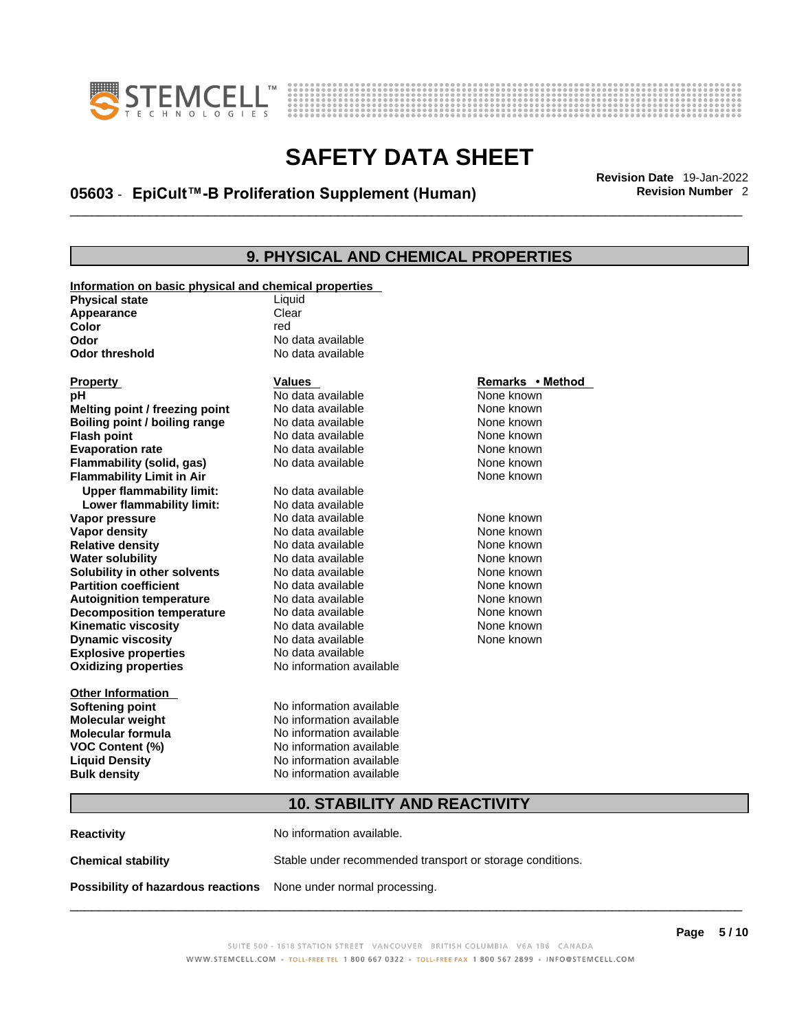



# \_\_\_\_\_\_\_\_\_\_\_\_\_\_\_\_\_\_\_\_\_\_\_\_\_\_\_\_\_\_\_\_\_\_\_\_\_\_\_\_\_\_\_\_\_\_\_\_\_\_\_\_\_\_\_\_\_\_\_\_\_\_\_\_\_\_\_\_\_\_\_\_\_\_\_\_\_\_\_\_\_\_\_\_\_\_\_\_\_\_\_\_\_ **Revision Date** 19-Jan-2022 **05603** - **EpiCult™-B Proliferation Supplement (Human) Revision Number** 2

## **9. PHYSICAL AND CHEMICAL PROPERTIES**

| Information on basic physical and chemical properties |                          |                  |
|-------------------------------------------------------|--------------------------|------------------|
| <b>Physical state</b>                                 | Liquid                   |                  |
| Appearance                                            | Clear                    |                  |
| Color                                                 | red                      |                  |
| Odor                                                  | No data available        |                  |
| <b>Odor threshold</b>                                 | No data available        |                  |
|                                                       |                          |                  |
| <b>Property</b>                                       | <b>Values</b>            | Remarks • Method |
| рH                                                    | No data available        | None known       |
| Melting point / freezing point                        | No data available        | None known       |
| Boiling point / boiling range                         | No data available        | None known       |
| <b>Flash point</b>                                    | No data available        | None known       |
| <b>Evaporation rate</b>                               | No data available        | None known       |
| Flammability (solid, gas)                             | No data available        | None known       |
| <b>Flammability Limit in Air</b>                      |                          | None known       |
| <b>Upper flammability limit:</b>                      | No data available        |                  |
| Lower flammability limit:                             | No data available        |                  |
| Vapor pressure                                        | No data available        | None known       |
| Vapor density                                         | No data available        | None known       |
| <b>Relative density</b>                               | No data available        | None known       |
| <b>Water solubility</b>                               | No data available        | None known       |
| Solubility in other solvents                          | No data available        | None known       |
| <b>Partition coefficient</b>                          | No data available        | None known       |
| <b>Autoignition temperature</b>                       | No data available        | None known       |
| <b>Decomposition temperature</b>                      | No data available        | None known       |
| <b>Kinematic viscosity</b>                            | No data available        | None known       |
| <b>Dynamic viscosity</b>                              | No data available        | None known       |
| <b>Explosive properties</b>                           | No data available        |                  |
| <b>Oxidizing properties</b>                           | No information available |                  |
|                                                       |                          |                  |
| <b>Other Information</b>                              |                          |                  |
| <b>Softening point</b>                                | No information available |                  |
| <b>Molecular weight</b>                               | No information available |                  |
| <b>Molecular formula</b>                              | No information available |                  |
| VOC Content (%)                                       | No information available |                  |
| <b>Liquid Density</b>                                 | No information available |                  |
| <b>Bulk density</b>                                   | No information available |                  |
|                                                       |                          |                  |
| <b>10. STABILITY AND REACTIVITY</b>                   |                          |                  |

**Reactivity No information available. Chemical stability** Stable under recommended transport or storage conditions. **Possibility of hazardous reactions** None under normal processing.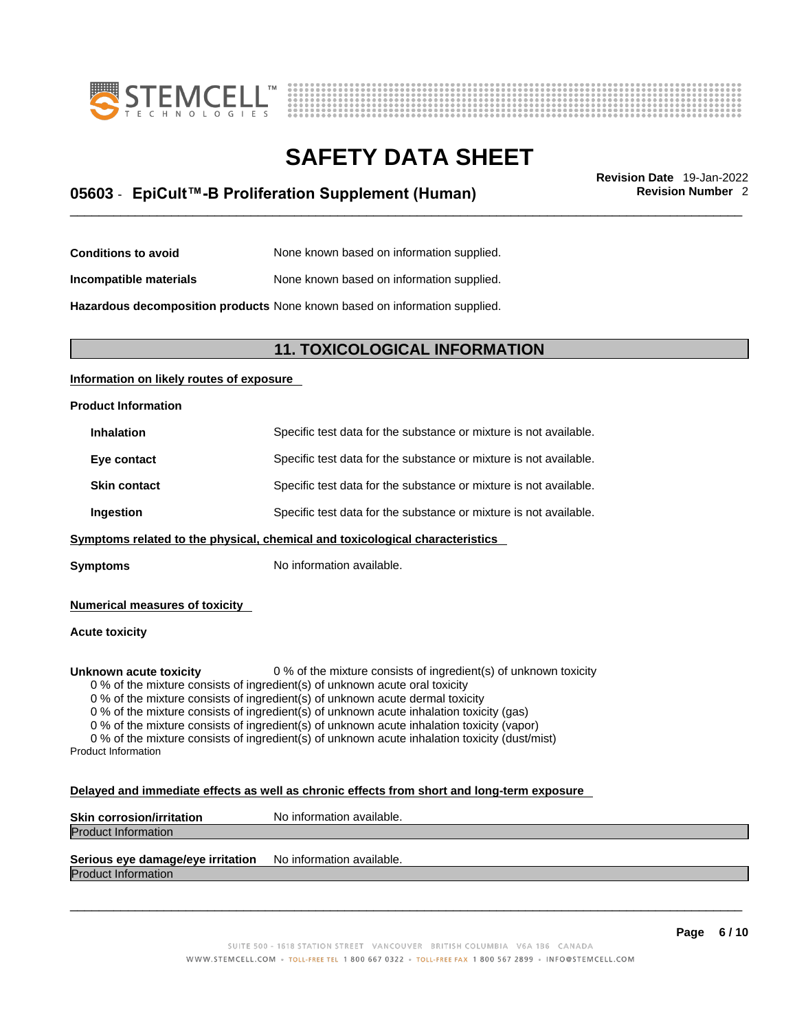



# \_\_\_\_\_\_\_\_\_\_\_\_\_\_\_\_\_\_\_\_\_\_\_\_\_\_\_\_\_\_\_\_\_\_\_\_\_\_\_\_\_\_\_\_\_\_\_\_\_\_\_\_\_\_\_\_\_\_\_\_\_\_\_\_\_\_\_\_\_\_\_\_\_\_\_\_\_\_\_\_\_\_\_\_\_\_\_\_\_\_\_\_\_ **Revision Date** 19-Jan-2022 **05603** - **EpiCult™-B Proliferation Supplement (Human) Revision Number** 2

**Conditions to avoid** None known based on information supplied.

**Incompatible materials** None known based on information supplied.

**Hazardous decomposition products** None known based on information supplied.

### **11. TOXICOLOGICAL INFORMATION**

### **Information on likely routes of exposure**

#### **Product Information**

| <b>Inhalation</b>   | Specific test data for the substance or mixture is not available. |
|---------------------|-------------------------------------------------------------------|
| Eye contact         | Specific test data for the substance or mixture is not available. |
| <b>Skin contact</b> | Specific test data for the substance or mixture is not available. |
| Ingestion           | Specific test data for the substance or mixture is not available. |
|                     |                                                                   |

**Symptoms** related to the physical, chemical and toxicological characteristics

**Symptoms** No information available.

**Numerical measures of toxicity**

### **Acute toxicity**

**Unknown acute toxicity** 0 % of the mixture consists of ingredient(s) of unknown toxicity

0 % of the mixture consists of ingredient(s) of unknown acute oral toxicity

0 % of the mixture consists of ingredient(s) of unknown acute dermal toxicity

0 % of the mixture consists of ingredient(s) of unknown acute inhalation toxicity (gas)

0 % of the mixture consists of ingredient(s) of unknown acute inhalation toxicity (vapor)

0 % of the mixture consists of ingredient(s) of unknown acute inhalation toxicity (dust/mist) Product Information

#### **Delayed and immediate effects as well as chronic effects from short and long-term exposure**

| <b>Skin corrosion/irritation</b> | No information available. |
|----------------------------------|---------------------------|
| <b>Product Information</b>       |                           |
|                                  |                           |

## **Serious eye damage/eye irritation** No information available.

Product Information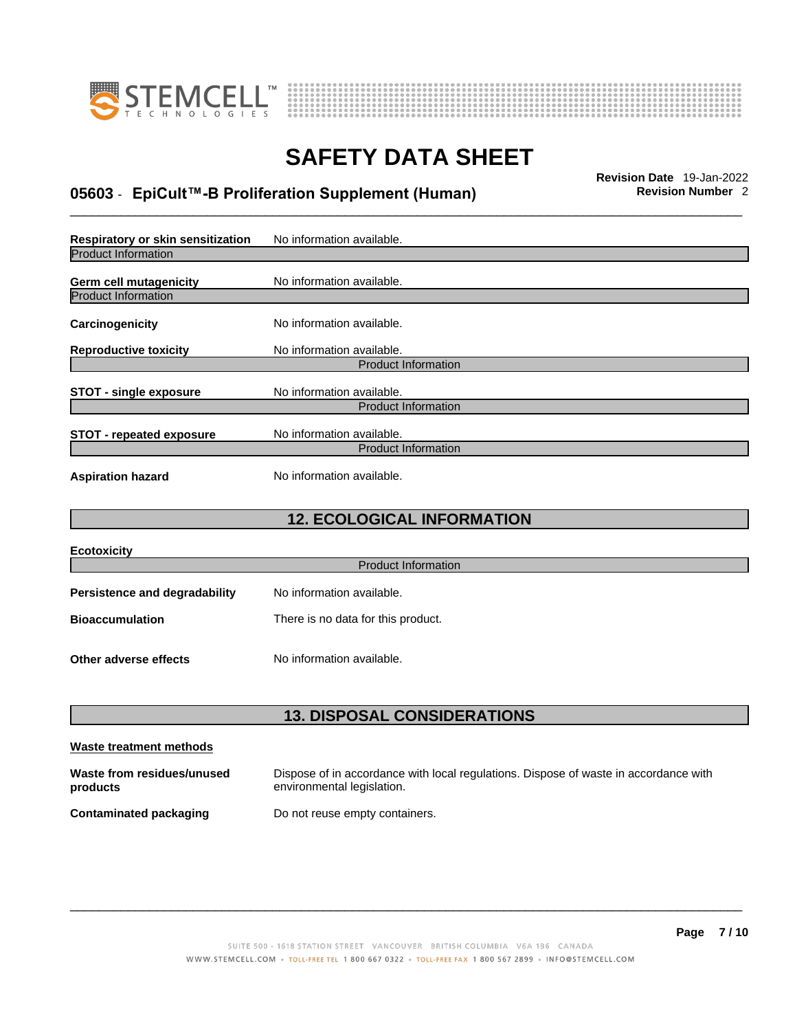



# \_\_\_\_\_\_\_\_\_\_\_\_\_\_\_\_\_\_\_\_\_\_\_\_\_\_\_\_\_\_\_\_\_\_\_\_\_\_\_\_\_\_\_\_\_\_\_\_\_\_\_\_\_\_\_\_\_\_\_\_\_\_\_\_\_\_\_\_\_\_\_\_\_\_\_\_\_\_\_\_\_\_\_\_\_\_\_\_\_\_\_\_\_ **Revision Date** 19-Jan-2022 **05603** - **EpiCult™-B Proliferation Supplement (Human) Revision Number** 2

| Respiratory or skin sensitization | No information available.  |  |
|-----------------------------------|----------------------------|--|
| <b>Product Information</b>        |                            |  |
| <b>Germ cell mutagenicity</b>     | No information available.  |  |
| <b>Product Information</b>        |                            |  |
| Carcinogenicity                   | No information available.  |  |
| <b>Reproductive toxicity</b>      | No information available.  |  |
|                                   | <b>Product Information</b> |  |
| <b>STOT - single exposure</b>     | No information available.  |  |
|                                   | <b>Product Information</b> |  |
| <b>STOT - repeated exposure</b>   | No information available.  |  |
| <b>Product Information</b>        |                            |  |
| <b>Aspiration hazard</b>          | No information available.  |  |

## **12. ECOLOGICAL INFORMATION**

| <b>Ecotoxicity</b>                   |                                    |
|--------------------------------------|------------------------------------|
|                                      | <b>Product Information</b>         |
| <b>Persistence and degradability</b> | No information available.          |
| <b>Bioaccumulation</b>               | There is no data for this product. |
| Other adverse effects                | No information available.          |

## **13. DISPOSAL CONSIDERATIONS**

| Waste treatment methods                |                                                                                                                    |
|----------------------------------------|--------------------------------------------------------------------------------------------------------------------|
| Waste from residues/unused<br>products | Dispose of in accordance with local regulations. Dispose of waste in accordance with<br>environmental legislation. |
| Contaminated packaging                 | Do not reuse empty containers.                                                                                     |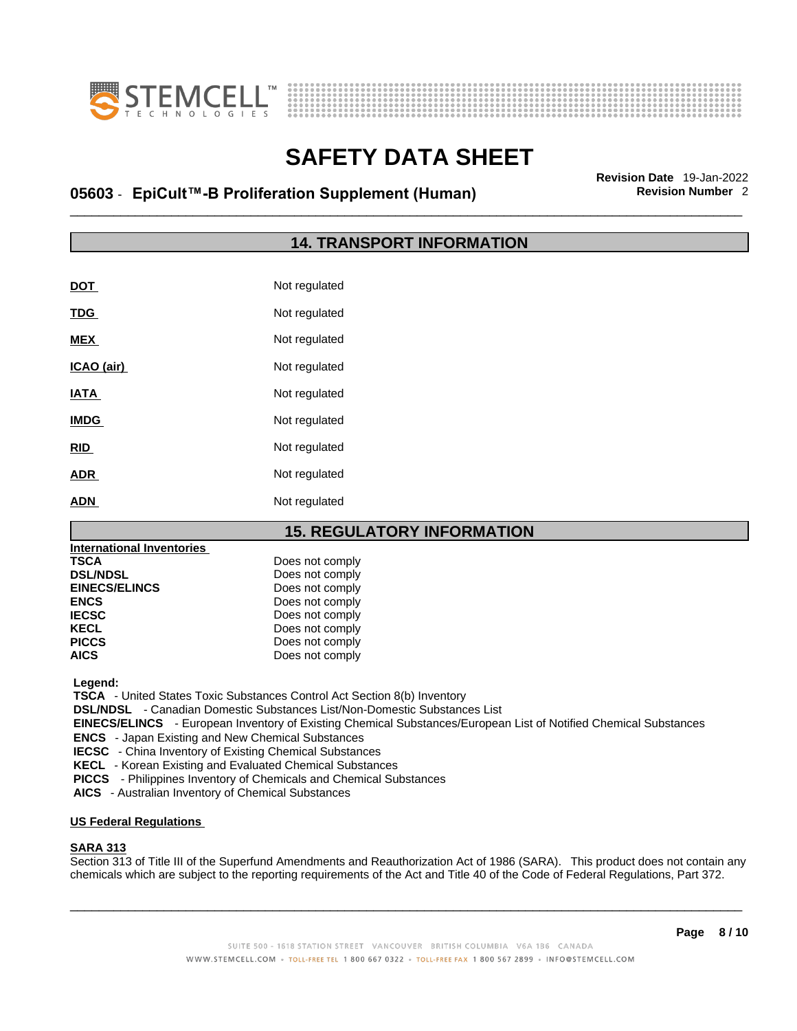



# \_\_\_\_\_\_\_\_\_\_\_\_\_\_\_\_\_\_\_\_\_\_\_\_\_\_\_\_\_\_\_\_\_\_\_\_\_\_\_\_\_\_\_\_\_\_\_\_\_\_\_\_\_\_\_\_\_\_\_\_\_\_\_\_\_\_\_\_\_\_\_\_\_\_\_\_\_\_\_\_\_\_\_\_\_\_\_\_\_\_\_\_\_ **Revision Date** 19-Jan-2022 **05603** - **EpiCult™-B Proliferation Supplement (Human) Revision Number** 2

## **14. TRANSPORT INFORMATION**

| DOT         | Not regulated |
|-------------|---------------|
| <b>TDG</b>  | Not regulated |
| <b>MEX</b>  | Not regulated |
| ICAO (air)  | Not regulated |
| <b>IATA</b> | Not regulated |
| <b>IMDG</b> | Not regulated |
| <b>RID</b>  | Not regulated |
| <b>ADR</b>  | Not regulated |
| <b>ADN</b>  | Not regulated |

## **15. REGULATORY INFORMATION**

| Does not comply |
|-----------------|
| Does not comply |
| Does not comply |
| Does not comply |
| Does not comply |
| Does not comply |
| Does not comply |
| Does not comply |
|                 |

 **Legend:** 

 **TSCA** - United States Toxic Substances Control Act Section 8(b) Inventory

 **DSL/NDSL** - Canadian Domestic Substances List/Non-Domestic Substances List

 **EINECS/ELINCS** - European Inventory of Existing Chemical Substances/European List of Notified Chemical Substances

 **ENCS** - Japan Existing and New Chemical Substances

 **IECSC** - China Inventory of Existing Chemical Substances

 **KECL** - Korean Existing and Evaluated Chemical Substances

 **PICCS** - Philippines Inventory of Chemicals and Chemical Substances

 **AICS** - Australian Inventory of Chemical Substances

#### **US Federal Regulations**

### **SARA 313**

Section 313 of Title III of the Superfund Amendments and Reauthorization Act of 1986 (SARA). This product does not contain any chemicals which are subject to the reporting requirements of the Act and Title 40 of the Code of Federal Regulations, Part 372.

 $\_$  ,  $\_$  ,  $\_$  ,  $\_$  ,  $\_$  ,  $\_$  ,  $\_$  ,  $\_$  ,  $\_$  ,  $\_$  ,  $\_$  ,  $\_$  ,  $\_$  ,  $\_$  ,  $\_$  ,  $\_$  ,  $\_$  ,  $\_$  ,  $\_$  ,  $\_$  ,  $\_$  ,  $\_$  ,  $\_$  ,  $\_$  ,  $\_$  ,  $\_$  ,  $\_$  ,  $\_$  ,  $\_$  ,  $\_$  ,  $\_$  ,  $\_$  ,  $\_$  ,  $\_$  ,  $\_$  ,  $\_$  ,  $\_$  ,

**Page 8 / 10**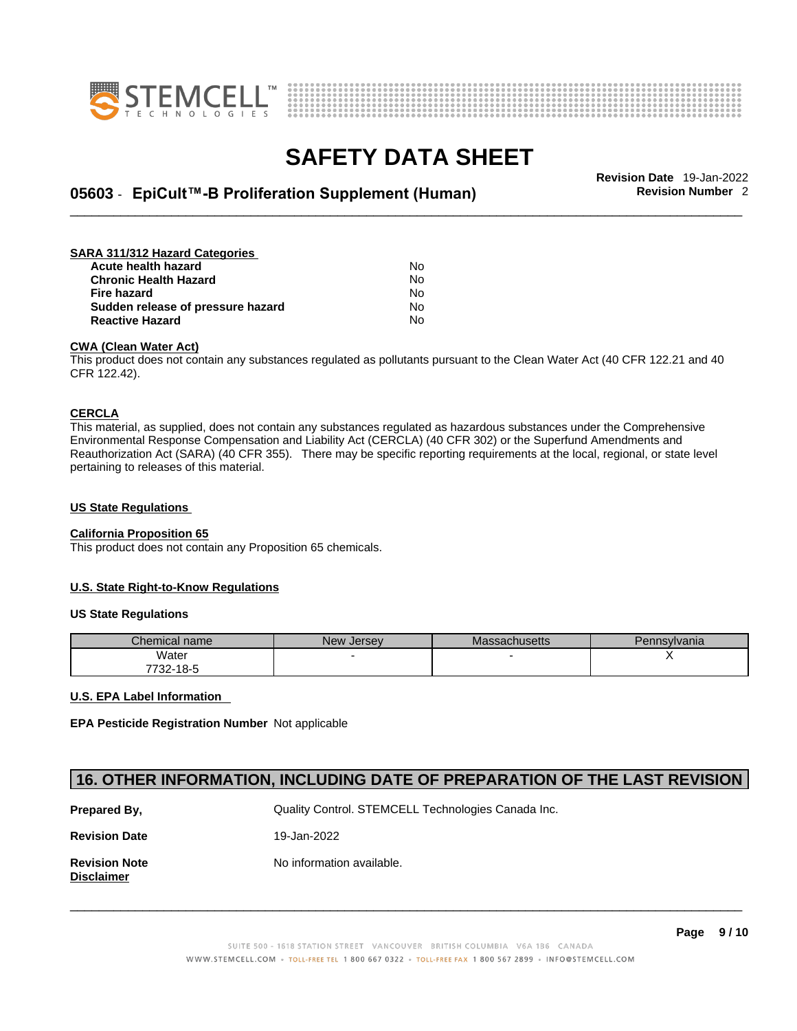



# \_\_\_\_\_\_\_\_\_\_\_\_\_\_\_\_\_\_\_\_\_\_\_\_\_\_\_\_\_\_\_\_\_\_\_\_\_\_\_\_\_\_\_\_\_\_\_\_\_\_\_\_\_\_\_\_\_\_\_\_\_\_\_\_\_\_\_\_\_\_\_\_\_\_\_\_\_\_\_\_\_\_\_\_\_\_\_\_\_\_\_\_\_ **Revision Date** 19-Jan-2022 **05603** - **EpiCult™-B Proliferation Supplement (Human) Revision Number** 2

#### **SARA 311/312 Hazard Categories Acute health hazard** No **Chronic Health Hazard** No

| Chronic Health Hazard             | <b>NO</b> |
|-----------------------------------|-----------|
| Fire hazard                       | N٥        |
| Sudden release of pressure hazard | Nο        |
| Reactive Hazard                   | No.       |

### **CWA** (Clean Water Act)

This product does not contain any substances regulated as pollutants pursuant to the Clean Water Act (40 CFR 122.21 and 40 CFR 122.42).

### **CERCLA**

This material, as supplied, does not contain any substances regulated as hazardous substances under the Comprehensive Environmental Response Compensation and Liability Act (CERCLA) (40 CFR 302) or the Superfund Amendments and Reauthorization Act (SARA) (40 CFR 355). There may be specific reporting requirements at the local, regional, or state level pertaining to releases of this material.

### **US State Regulations**

### **California Proposition 65**

This product does not contain any Proposition 65 chemicals.

### **U.S. State Right-to-Know Regulations**

### **US State Regulations**

| Chemical name | New Jersev | <b>Massachusetts</b> | Pennsylvania |
|---------------|------------|----------------------|--------------|
| Water         |            |                      |              |
| 7732-18-5     |            |                      |              |

### **U.S. EPA Label Information**

**EPA Pesticide Registration Number** Not applicable

## **16. OTHER INFORMATION, INCLUDING DATE OF PREPARATION OF THE LAST REVISION**

| Prepared By,                              | Quality Control. STEMCELL Technologies Canada Inc. |
|-------------------------------------------|----------------------------------------------------|
| <b>Revision Date</b>                      | 19-Jan-2022                                        |
| <b>Revision Note</b><br><b>Disclaimer</b> | No information available.                          |